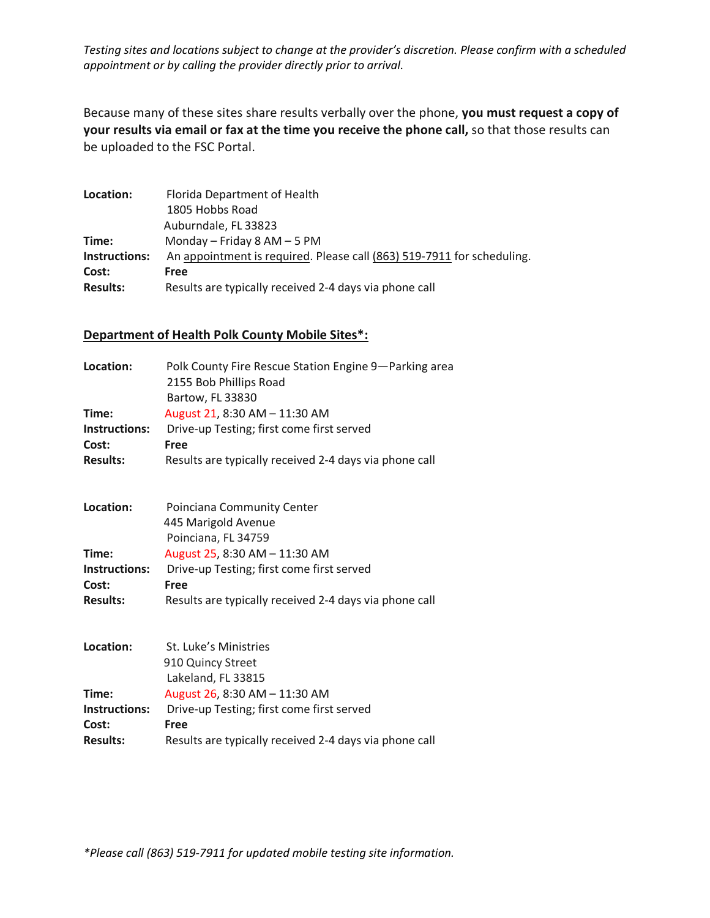*Testing sites and locations subject to change at the provider's discretion. Please confirm with a scheduled appointment or by calling the provider directly prior to arrival.*

Because many of these sites share results verbally over the phone, **you must request a copy of your results via email or fax at the time you receive the phone call,** so that those results can be uploaded to the FSC Portal.

| Location:       | Florida Department of Health                                           |
|-----------------|------------------------------------------------------------------------|
|                 | 1805 Hobbs Road                                                        |
|                 | Auburndale, FL 33823                                                   |
| Time:           | Monday – Friday 8 AM – 5 PM                                            |
| Instructions:   | An appointment is required. Please call (863) 519-7911 for scheduling. |
| Cost:           | Free                                                                   |
| <b>Results:</b> | Results are typically received 2-4 days via phone call                 |

## **Department of Health Polk County Mobile Sites\*:**

| Location:       | Polk County Fire Rescue Station Engine 9-Parking area<br>2155 Bob Phillips Road<br>Bartow, FL 33830 |
|-----------------|-----------------------------------------------------------------------------------------------------|
| Time:           | August 21, 8:30 AM - 11:30 AM                                                                       |
| Instructions:   | Drive-up Testing; first come first served                                                           |
| Cost:           | Free                                                                                                |
| <b>Results:</b> | Results are typically received 2-4 days via phone call                                              |
| Location:       | Poinciana Community Center                                                                          |
|                 | 445 Marigold Avenue                                                                                 |
|                 | Poinciana, FL 34759                                                                                 |
| Time:           | August 25, 8:30 AM - 11:30 AM                                                                       |
| Instructions:   | Drive-up Testing; first come first served                                                           |
| Cost:           | Free                                                                                                |
| <b>Results:</b> | Results are typically received 2-4 days via phone call                                              |
| Location:       | St. Luke's Ministries                                                                               |
|                 | 910 Quincy Street                                                                                   |
|                 | Lakeland, FL 33815                                                                                  |
| Time:           | August 26, 8:30 AM - 11:30 AM                                                                       |
| Instructions:   | Drive-up Testing; first come first served                                                           |
| Cost:           | Free                                                                                                |
| <b>Results:</b> | Results are typically received 2-4 days via phone call                                              |

*\*Please call (863) 519-7911 for updated mobile testing site information.*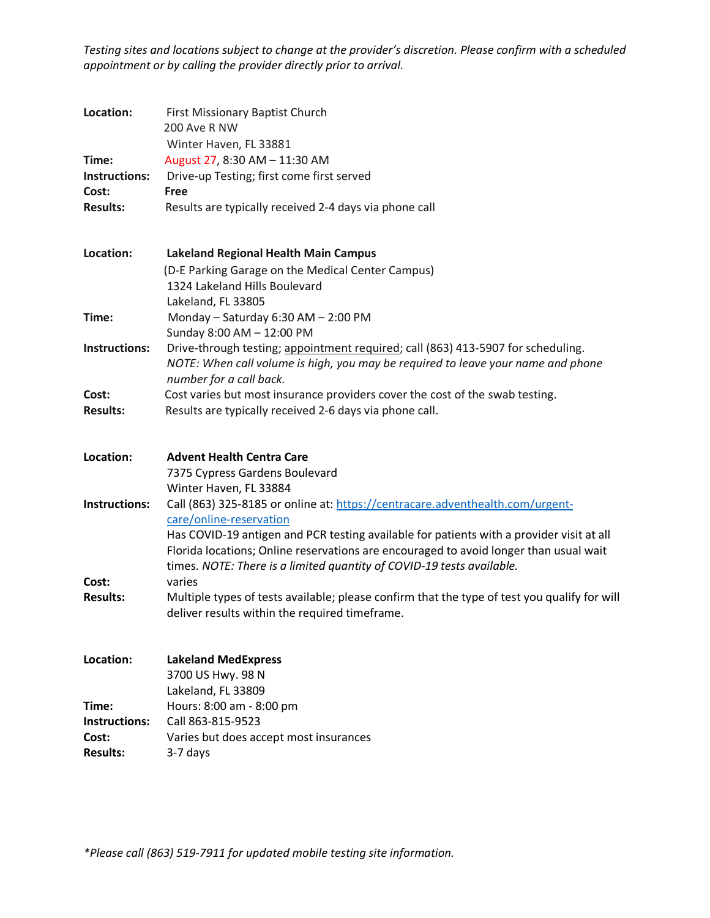*Testing sites and locations subject to change at the provider's discretion. Please confirm with a scheduled appointment or by calling the provider directly prior to arrival.*

| Location:            | First Missionary Baptist Church<br>200 Ave R NW<br>Winter Haven, FL 33881                                                                                                                                                                                  |
|----------------------|------------------------------------------------------------------------------------------------------------------------------------------------------------------------------------------------------------------------------------------------------------|
| Time:                | August 27, 8:30 AM - 11:30 AM                                                                                                                                                                                                                              |
| Instructions:        | Drive-up Testing; first come first served                                                                                                                                                                                                                  |
| Cost:                | <b>Free</b>                                                                                                                                                                                                                                                |
| <b>Results:</b>      | Results are typically received 2-4 days via phone call                                                                                                                                                                                                     |
| Location:            | <b>Lakeland Regional Health Main Campus</b>                                                                                                                                                                                                                |
|                      | (D-E Parking Garage on the Medical Center Campus)                                                                                                                                                                                                          |
|                      | 1324 Lakeland Hills Boulevard                                                                                                                                                                                                                              |
|                      | Lakeland, FL 33805                                                                                                                                                                                                                                         |
| Time:                | Monday - Saturday 6:30 AM - 2:00 PM                                                                                                                                                                                                                        |
|                      | Sunday 8:00 AM - 12:00 PM                                                                                                                                                                                                                                  |
| Instructions:        | Drive-through testing; appointment required; call (863) 413-5907 for scheduling.<br>NOTE: When call volume is high, you may be required to leave your name and phone<br>number for a call back.                                                            |
| Cost:                | Cost varies but most insurance providers cover the cost of the swab testing.                                                                                                                                                                               |
| <b>Results:</b>      | Results are typically received 2-6 days via phone call.                                                                                                                                                                                                    |
| Location:            | <b>Advent Health Centra Care</b>                                                                                                                                                                                                                           |
|                      | 7375 Cypress Gardens Boulevard                                                                                                                                                                                                                             |
|                      | Winter Haven, FL 33884                                                                                                                                                                                                                                     |
| <b>Instructions:</b> | Call (863) 325-8185 or online at: https://centracare.adventhealth.com/urgent-                                                                                                                                                                              |
|                      | care/online-reservation                                                                                                                                                                                                                                    |
|                      | Has COVID-19 antigen and PCR testing available for patients with a provider visit at all<br>Florida locations; Online reservations are encouraged to avoid longer than usual wait<br>times. NOTE: There is a limited quantity of COVID-19 tests available. |
| Cost:                | varies                                                                                                                                                                                                                                                     |
| <b>Results:</b>      | Multiple types of tests available; please confirm that the type of test you qualify for will<br>deliver results within the required timeframe.                                                                                                             |
| Location:            | <b>Lakeland MedExpress</b>                                                                                                                                                                                                                                 |
|                      | 3700 US Hwy. 98 N                                                                                                                                                                                                                                          |
|                      | Lakeland, FL 33809                                                                                                                                                                                                                                         |
| Time:                | Hours: 8:00 am - 8:00 pm                                                                                                                                                                                                                                   |
| <b>Instructions:</b> | Call 863-815-9523                                                                                                                                                                                                                                          |
| Cost:                | Varies but does accept most insurances                                                                                                                                                                                                                     |
| <b>Results:</b>      | 3-7 days                                                                                                                                                                                                                                                   |

*\*Please call (863) 519-7911 for updated mobile testing site information.*